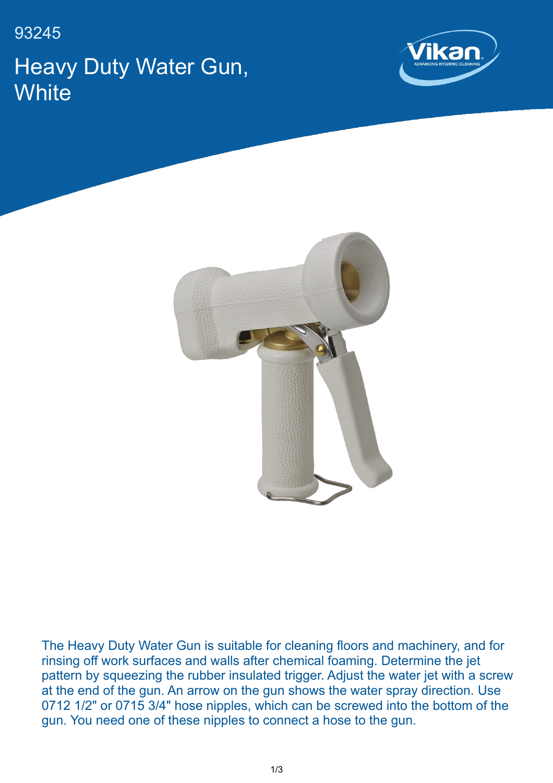93245 Heavy Duty Water Gun, **White** 





The Heavy Duty Water Gun is suitable for cleaning floors and machinery, and for rinsing off work surfaces and walls after chemical foaming. Determine the jet pattern by squeezing the rubber insulated trigger. Adjust the water jet with a screw at the end of the gun. An arrow on the gun shows the water spray direction. Use 0712 1/2" or 0715 3/4" hose nipples, which can be screwed into the bottom of the gun. You need one of these nipples to connect a hose to the gun.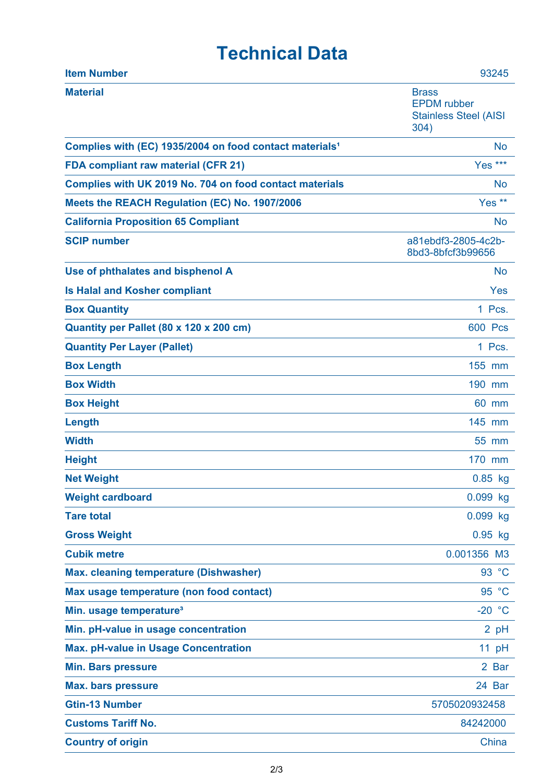## **Technical Data**

| <b>Item Number</b>                                                  | 93245                                                                      |
|---------------------------------------------------------------------|----------------------------------------------------------------------------|
| <b>Material</b>                                                     | <b>Brass</b><br><b>EPDM</b> rubber<br><b>Stainless Steel (AISI</b><br>304) |
| Complies with (EC) 1935/2004 on food contact materials <sup>1</sup> | <b>No</b>                                                                  |
| <b>FDA compliant raw material (CFR 21)</b>                          | Yes ***                                                                    |
| Complies with UK 2019 No. 704 on food contact materials             | No                                                                         |
| Meets the REACH Regulation (EC) No. 1907/2006                       | Yes <sup>**</sup>                                                          |
| <b>California Proposition 65 Compliant</b>                          | <b>No</b>                                                                  |
| <b>SCIP number</b>                                                  | a81ebdf3-2805-4c2b-<br>8bd3-8bfcf3b99656                                   |
| Use of phthalates and bisphenol A                                   | <b>No</b>                                                                  |
| <b>Is Halal and Kosher compliant</b>                                | Yes                                                                        |
| <b>Box Quantity</b>                                                 | 1 Pcs.                                                                     |
| Quantity per Pallet (80 x 120 x 200 cm)                             | <b>600 Pcs</b>                                                             |
| <b>Quantity Per Layer (Pallet)</b>                                  | 1 Pcs.                                                                     |
| <b>Box Length</b>                                                   | 155 mm                                                                     |
| <b>Box Width</b>                                                    | 190 mm                                                                     |
| <b>Box Height</b>                                                   | 60 mm                                                                      |
| Length                                                              | 145 mm                                                                     |
| <b>Width</b>                                                        | 55 mm                                                                      |
| <b>Height</b>                                                       | 170 mm                                                                     |
| <b>Net Weight</b>                                                   | $0.85$ kg                                                                  |
| <b>Weight cardboard</b>                                             | 0.099 kg                                                                   |
| <b>Tare total</b>                                                   | 0.099 kg                                                                   |
| <b>Gross Weight</b>                                                 | $0.95$ kg                                                                  |
| <b>Cubik metre</b>                                                  | 0.001356 M3                                                                |
| Max. cleaning temperature (Dishwasher)                              | 93 °C                                                                      |
| Max usage temperature (non food contact)                            | 95 °C                                                                      |
| Min. usage temperature <sup>3</sup>                                 | $-20 °C$                                                                   |
| Min. pH-value in usage concentration                                | 2 pH                                                                       |
| <b>Max. pH-value in Usage Concentration</b>                         | 11 pH                                                                      |
| <b>Min. Bars pressure</b>                                           | 2 Bar                                                                      |
| <b>Max. bars pressure</b>                                           | 24 Bar                                                                     |
| <b>Gtin-13 Number</b>                                               | 5705020932458                                                              |
| <b>Customs Tariff No.</b>                                           | 84242000                                                                   |
| <b>Country of origin</b>                                            | China                                                                      |